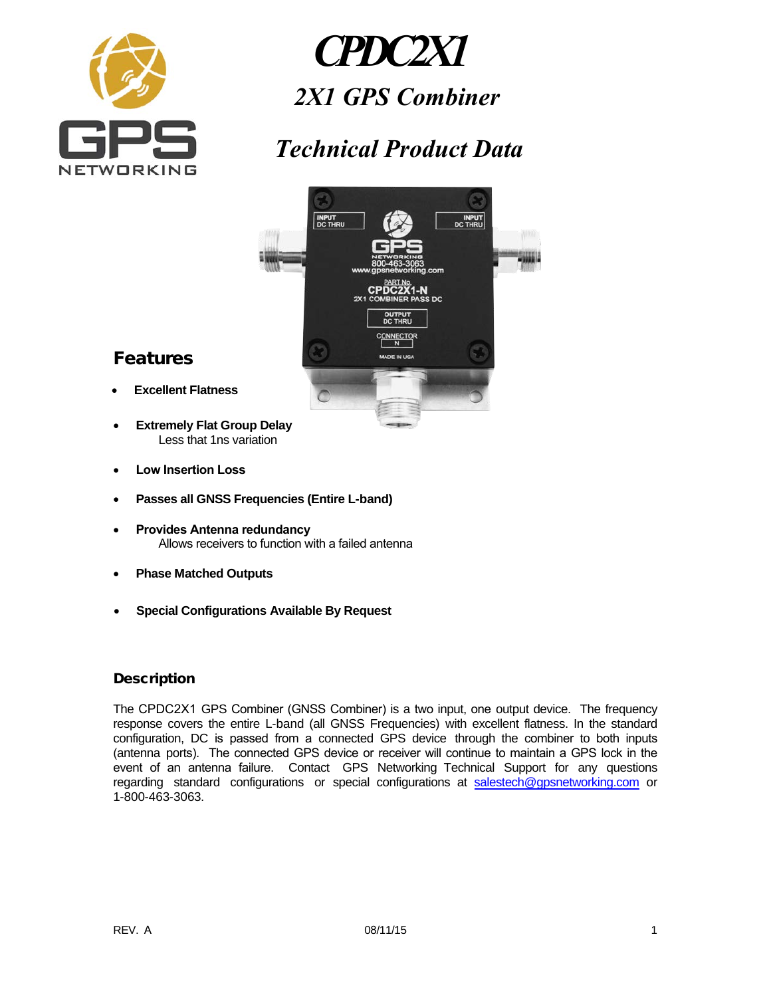

# *CPDC2X1 2X1 GPS Combiner*

## *Technical Product Data*



### Features

- **Excellent Flatness**
- **Extremely Flat Group Delay** Less that 1ns variation
- **Low Insertion Loss**
- **Passes all GNSS Frequencies (Entire L-band)**
- **Provides Antenna redundancy** Allows receivers to function with a failed antenna
- **Phase Matched Outputs**
- **Special Configurations Available By Request**

#### **Description**

The CPDC2X1 GPS Combiner (GNSS Combiner) is a two input, one output device. The frequency response covers the entire L-band (all GNSS Frequencies) with excellent flatness. In the standard configuration, DC is passed from a connected GPS device through the combiner to both inputs (antenna ports). The connected GPS device or receiver will continue to maintain a GPS lock in the event of an antenna failure. Contact GPS Networking Technical Support for any questions regarding standard configurations or [special configurations at salest](mailto:salestech@gpsnetworking.com)ech@gpsnetworking.com or 1-800-463-3063.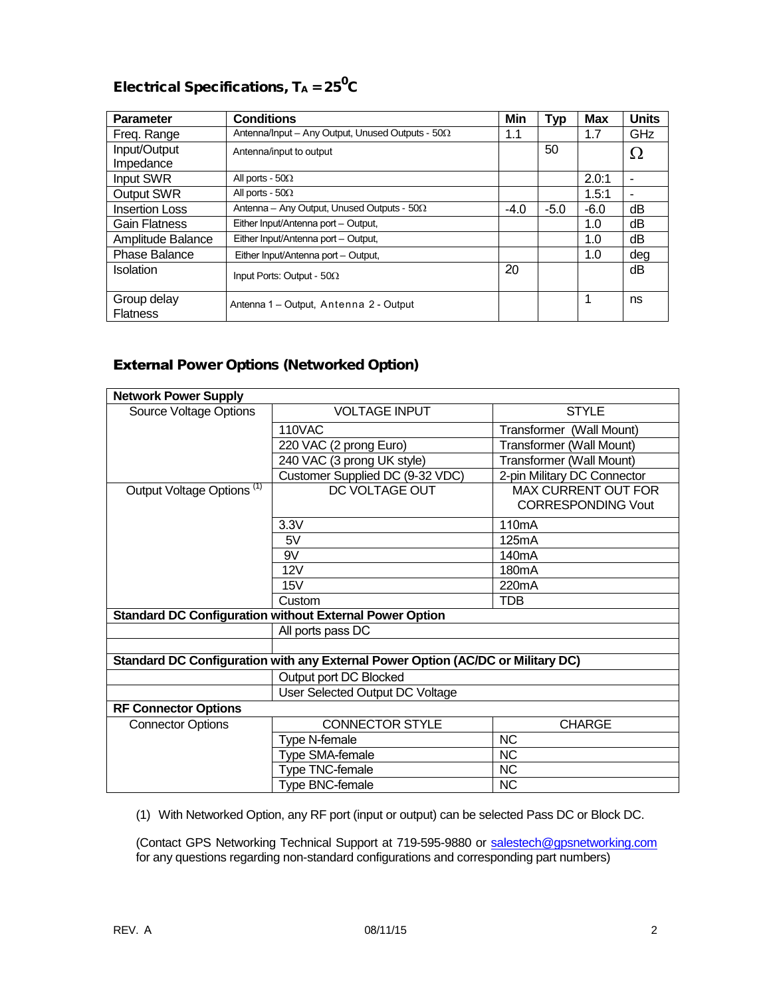#### Electrical Specifications, TA = 25<sup>0</sup>C

| <b>Parameter</b>               | <b>Conditions</b>                                       | Min    | Typ    | <b>Max</b> | <b>Units</b> |
|--------------------------------|---------------------------------------------------------|--------|--------|------------|--------------|
| Freq. Range                    | Antenna/Input - Any Output, Unused Outputs - $50\Omega$ | 1.1    |        | 1.7        | GHz          |
| Input/Output                   | Antenna/input to output                                 |        | 50     |            | Ω            |
| Impedance                      |                                                         |        |        |            |              |
| Input SWR                      | All ports - $50\Omega$                                  |        |        | 2.0:1      |              |
| Output SWR                     | All ports - $50\Omega$                                  |        |        | 1.5:1      |              |
| <b>Insertion Loss</b>          | Antenna - Any Output, Unused Outputs - $50\Omega$       | $-4.0$ | $-5.0$ | $-6.0$     | dΒ           |
| <b>Gain Flatness</b>           | Either Input/Antenna port - Output,                     |        |        | 1.0        | dB           |
| Amplitude Balance              | Either Input/Antenna port - Output,                     |        |        | 1.0        | dΒ           |
| <b>Phase Balance</b>           | Either Input/Antenna port - Output,                     |        |        | 1.0        | dea          |
| <b>Isolation</b>               | Input Ports: Output - $50\Omega$                        | 20     |        |            | dΒ           |
| Group delay<br><b>Flatness</b> | Antenna 1 - Output, Antenna 2 - Output                  |        |        |            | ns           |

#### External Power Options (Networked Option)

| <b>Network Power Supply</b>                                                     |                                 |                                                         |  |  |  |  |
|---------------------------------------------------------------------------------|---------------------------------|---------------------------------------------------------|--|--|--|--|
| <b>Source Voltage Options</b>                                                   | <b>VOLTAGE INPUT</b>            | <b>STYLE</b>                                            |  |  |  |  |
|                                                                                 | 110VAC                          | Transformer (Wall Mount)                                |  |  |  |  |
|                                                                                 | 220 VAC (2 prong Euro)          | <b>Transformer (Wall Mount)</b>                         |  |  |  |  |
|                                                                                 | 240 VAC (3 prong UK style)      | Transformer (Wall Mount)                                |  |  |  |  |
|                                                                                 | Customer Supplied DC (9-32 VDC) | 2-pin Military DC Connector                             |  |  |  |  |
| Output Voltage Options <sup>(1)</sup>                                           | DC VOLTAGE OUT                  | <b>MAX CURRENT OUT FOR</b><br><b>CORRESPONDING Vout</b> |  |  |  |  |
|                                                                                 | 3.3V                            | 110 <sub>m</sub> A                                      |  |  |  |  |
|                                                                                 | 5V                              | 125mA                                                   |  |  |  |  |
|                                                                                 | 9V                              | 140 <sub>m</sub> A                                      |  |  |  |  |
|                                                                                 | 12V                             | 180 <sub>m</sub> A                                      |  |  |  |  |
|                                                                                 | 15V                             | 220mA                                                   |  |  |  |  |
|                                                                                 | Custom                          | <b>TDB</b>                                              |  |  |  |  |
| <b>Standard DC Configuration without External Power Option</b>                  |                                 |                                                         |  |  |  |  |
|                                                                                 | All ports pass DC               |                                                         |  |  |  |  |
|                                                                                 |                                 |                                                         |  |  |  |  |
| Standard DC Configuration with any External Power Option (AC/DC or Military DC) |                                 |                                                         |  |  |  |  |
|                                                                                 | Output port DC Blocked          |                                                         |  |  |  |  |
|                                                                                 | User Selected Output DC Voltage |                                                         |  |  |  |  |
| <b>RF Connector Options</b>                                                     |                                 |                                                         |  |  |  |  |
| <b>Connector Options</b>                                                        | <b>CONNECTOR STYLE</b>          | <b>CHARGE</b>                                           |  |  |  |  |
|                                                                                 | Type N-female                   | NC                                                      |  |  |  |  |
|                                                                                 | Type SMA-female                 | $\overline{\text{NC}}$                                  |  |  |  |  |
|                                                                                 | Type TNC-female                 | NC                                                      |  |  |  |  |
|                                                                                 | Type BNC-female                 | <b>NC</b>                                               |  |  |  |  |

(1) With Networked Option, any RF port (input or output) can be selected Pass DC or Block DC.

(Contact GPS Networking Technical Support at 719-595-9880 or [salestech@gpsnetworking.com](mailto:salestech@gpsnetworking.com) for any questions regarding non-standard configurations and corresponding part numbers)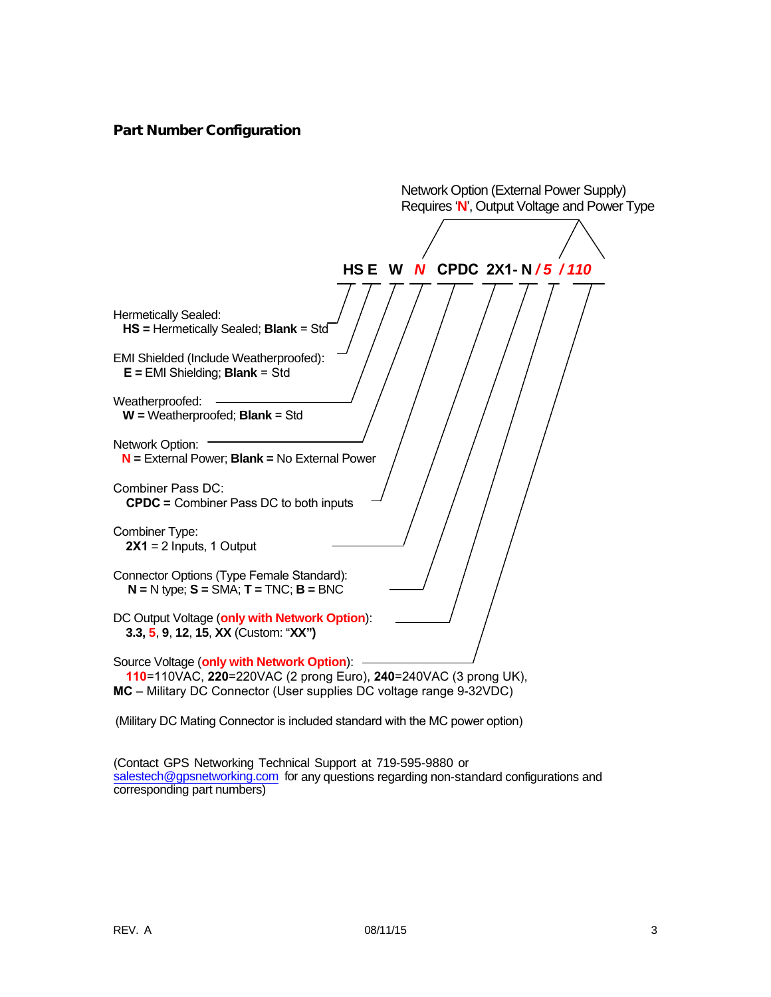Part Number Configuration



(Contact GPS Networking Technical Support at 719-595-9880 or salestech@gpsnetworking.com for any questions regarding non-standard configurations and corresponding part numbers)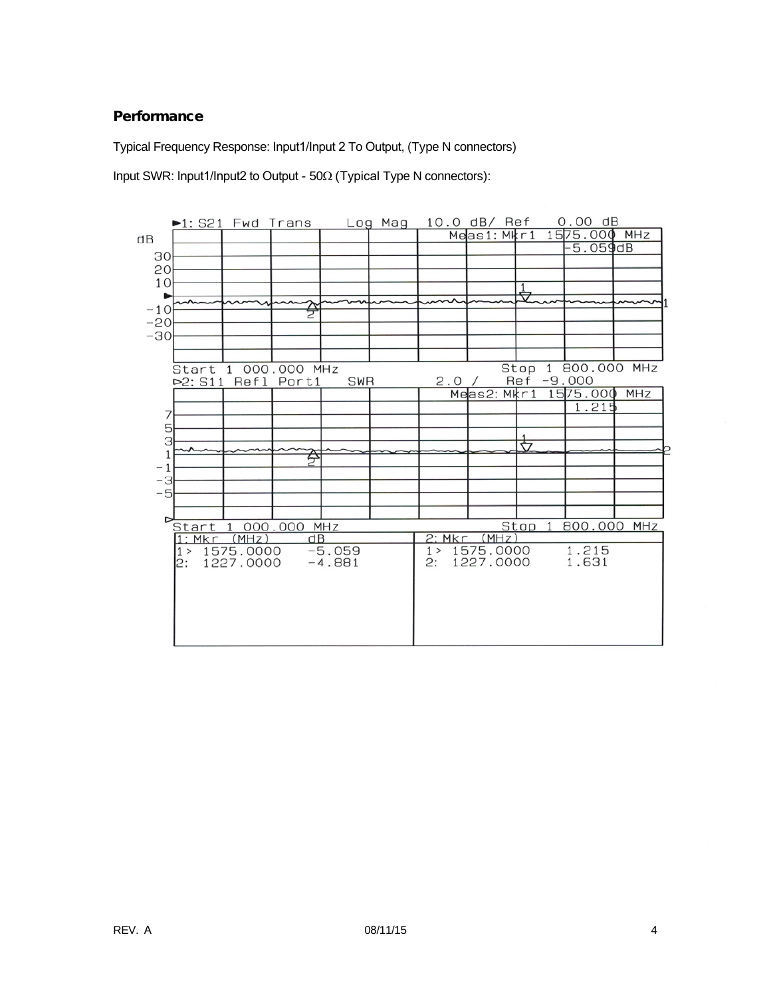#### **Performance**

Typical Frequency Response: Input1/Input 2 To Output, (Type N connectors)

Input SWR: Input1/Input2 to Output - 50Ω (Typical Type N connectors):